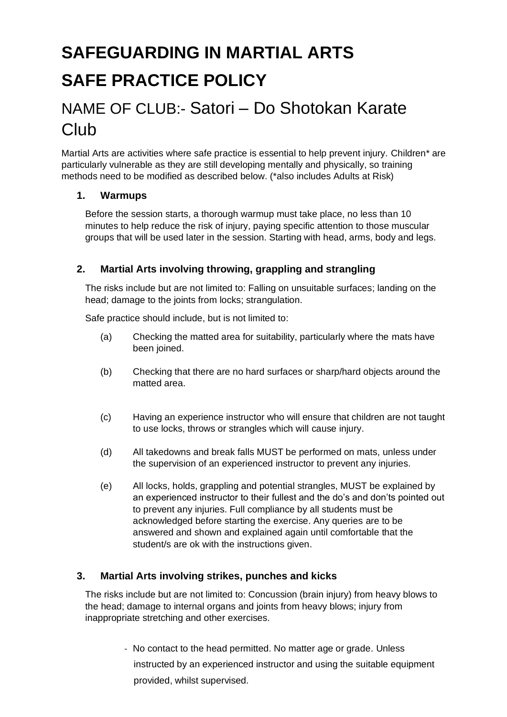# **SAFEGUARDING IN MARTIAL ARTS SAFE PRACTICE POLICY**

## NAME OF CLUB:- Satori – Do Shotokan Karate **Club Club Club Club Club**

Martial Arts are activities where safe practice is essential to help prevent injury. Children\* are particularly vulnerable as they are still developing mentally and physically, so training methods need to be modified as described below. (\*also includes Adults at Risk)

#### **1. Warmups**

Before the session starts, a thorough warmup must take place, no less than 10 minutes to help reduce the risk of injury, paying specific attention to those muscular groups that will be used later in the session. Starting with head, arms, body and legs.

### **2. Martial Arts involving throwing, grappling and strangling**

The risks include but are not limited to: Falling on unsuitable surfaces; landing on the head; damage to the joints from locks; strangulation.

Safe practice should include, but is not limited to:

- (a) Checking the matted area for suitability, particularly where the mats have been joined.
- (b) Checking that there are no hard surfaces or sharp/hard objects around the matted area.
- (c) Having an experience instructor who will ensure that children are not taught to use locks, throws or strangles which will cause injury.
- (d) All takedowns and break falls MUST be performed on mats, unless under the supervision of an experienced instructor to prevent any injuries.
- (e) All locks, holds, grappling and potential strangles, MUST be explained by an experienced instructor to their fullest and the do's and don'ts pointed out to prevent any injuries. Full compliance by all students must be acknowledged before starting the exercise. Any queries are to be answered and shown and explained again until comfortable that the student/s are ok with the instructions given.

### **3. Martial Arts involving strikes, punches and kicks**

The risks include but are not limited to: Concussion (brain injury) from heavy blows to the head; damage to internal organs and joints from heavy blows; injury from inappropriate stretching and other exercises.

> - No contact to the head permitted. No matter age or grade. Unless instructed by an experienced instructor and using the suitable equipment provided, whilst supervised.